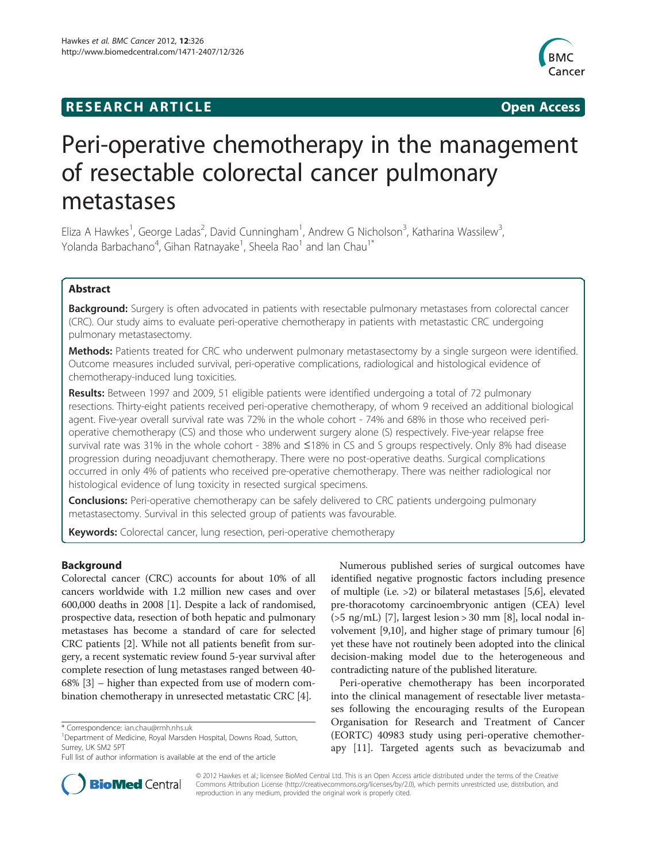# **RESEARCH ARTICLE Example 2014 12:30 The SEAR CHA R TIGGS**



# Peri-operative chemotherapy in the management of resectable colorectal cancer pulmonary metastases

Eliza A Hawkes<sup>1</sup>, George Ladas<sup>2</sup>, David Cunningham<sup>1</sup>, Andrew G Nicholson<sup>3</sup>, Katharina Wassilew<sup>3</sup> , Yolanda Barbachano<sup>4</sup>, Gihan Ratnayake<sup>1</sup>, Sheela Rao<sup>1</sup> and Ian Chau<sup>1\*</sup>

# Abstract

Background: Surgery is often advocated in patients with resectable pulmonary metastases from colorectal cancer (CRC). Our study aims to evaluate peri-operative chemotherapy in patients with metastastic CRC undergoing pulmonary metastasectomy.

Methods: Patients treated for CRC who underwent pulmonary metastasectomy by a single surgeon were identified. Outcome measures included survival, peri-operative complications, radiological and histological evidence of chemotherapy-induced lung toxicities.

Results: Between 1997 and 2009, 51 eligible patients were identified undergoing a total of 72 pulmonary resections. Thirty-eight patients received peri-operative chemotherapy, of whom 9 received an additional biological agent. Five-year overall survival rate was 72% in the whole cohort - 74% and 68% in those who received perioperative chemotherapy (CS) and those who underwent surgery alone (S) respectively. Five-year relapse free survival rate was 31% in the whole cohort - 38% and ≤18% in CS and S groups respectively. Only 8% had disease progression during neoadjuvant chemotherapy. There were no post-operative deaths. Surgical complications occurred in only 4% of patients who received pre-operative chemotherapy. There was neither radiological nor histological evidence of lung toxicity in resected surgical specimens.

**Conclusions:** Peri-operative chemotherapy can be safely delivered to CRC patients undergoing pulmonary metastasectomy. Survival in this selected group of patients was favourable.

Keywords: Colorectal cancer, lung resection, peri-operative chemotherapy

# Background

Colorectal cancer (CRC) accounts for about 10% of all cancers worldwide with 1.2 million new cases and over 600,000 deaths in 2008 [[1\]](#page-10-0). Despite a lack of randomised, prospective data, resection of both hepatic and pulmonary metastases has become a standard of care for selected CRC patients [[2\]](#page-10-0). While not all patients benefit from surgery, a recent systematic review found 5-year survival after complete resection of lung metastases ranged between 40- 68% [\[3\]](#page-10-0) – higher than expected from use of modern combination chemotherapy in unresected metastatic CRC [[4](#page-10-0)].

Numerous published series of surgical outcomes have identified negative prognostic factors including presence of multiple (i.e. >2) or bilateral metastases [[5,6](#page-10-0)], elevated pre-thoracotomy carcinoembryonic antigen (CEA) level  $(55 \text{ ng/mL})$  [\[7](#page-11-0)], largest lesion  $> 30 \text{ mm}$  [[8\]](#page-11-0), local nodal involvement [[9,10](#page-11-0)], and higher stage of primary tumour [[6](#page-10-0)] yet these have not routinely been adopted into the clinical decision-making model due to the heterogeneous and contradicting nature of the published literature.

Peri-operative chemotherapy has been incorporated into the clinical management of resectable liver metastases following the encouraging results of the European Organisation for Research and Treatment of Cancer (EORTC) 40983 study using peri-operative chemotherapy [\[11](#page-11-0)]. Targeted agents such as bevacizumab and



© 2012 Hawkes et al.; licensee BioMed Central Ltd. This is an Open Access article distributed under the terms of the Creative Commons Attribution License [\(http://creativecommons.org/licenses/by/2.0\)](http://creativecommons.org/licenses/by/2.0), which permits unrestricted use, distribution, and reproduction in any medium, provided the original work is properly cited.

<sup>\*</sup> Correspondence: [ian.chau@rmh.nhs.uk](mailto:ian.chau@rmh.nhs.uk) <sup>1</sup>

<sup>&</sup>lt;sup>1</sup>Department of Medicine, Royal Marsden Hospital, Downs Road, Sutton, Surrey, UK SM2 5PT

Full list of author information is available at the end of the article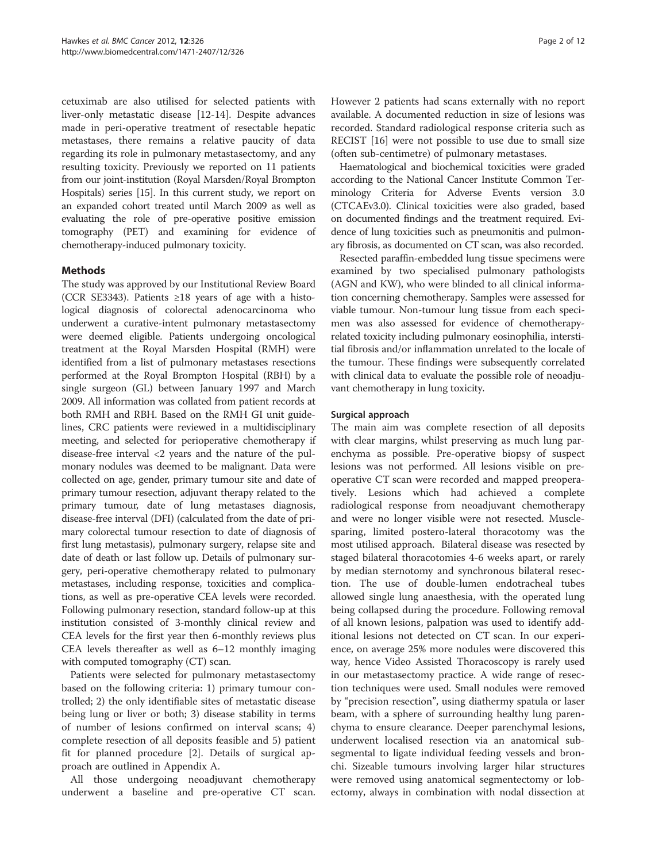cetuximab are also utilised for selected patients with liver-only metastatic disease [\[12](#page-11-0)-[14\]](#page-11-0). Despite advances made in peri-operative treatment of resectable hepatic metastases, there remains a relative paucity of data regarding its role in pulmonary metastasectomy, and any resulting toxicity. Previously we reported on 11 patients from our joint-institution (Royal Marsden/Royal Brompton Hospitals) series [[15](#page-11-0)]. In this current study, we report on an expanded cohort treated until March 2009 as well as evaluating the role of pre-operative positive emission tomography (PET) and examining for evidence of chemotherapy-induced pulmonary toxicity.

# Methods

The study was approved by our Institutional Review Board (CCR SE3343). Patients  $\geq 18$  years of age with a histological diagnosis of colorectal adenocarcinoma who underwent a curative-intent pulmonary metastasectomy were deemed eligible. Patients undergoing oncological treatment at the Royal Marsden Hospital (RMH) were identified from a list of pulmonary metastases resections performed at the Royal Brompton Hospital (RBH) by a single surgeon (GL) between January 1997 and March 2009. All information was collated from patient records at both RMH and RBH. Based on the RMH GI unit guidelines, CRC patients were reviewed in a multidisciplinary meeting, and selected for perioperative chemotherapy if disease-free interval <2 years and the nature of the pulmonary nodules was deemed to be malignant. Data were collected on age, gender, primary tumour site and date of primary tumour resection, adjuvant therapy related to the primary tumour, date of lung metastases diagnosis, disease-free interval (DFI) (calculated from the date of primary colorectal tumour resection to date of diagnosis of first lung metastasis), pulmonary surgery, relapse site and date of death or last follow up. Details of pulmonary surgery, peri-operative chemotherapy related to pulmonary metastases, including response, toxicities and complications, as well as pre-operative CEA levels were recorded. Following pulmonary resection, standard follow-up at this institution consisted of 3-monthly clinical review and CEA levels for the first year then 6-monthly reviews plus CEA levels thereafter as well as 6–12 monthly imaging with computed tomography (CT) scan.

Patients were selected for pulmonary metastasectomy based on the following criteria: 1) primary tumour controlled; 2) the only identifiable sites of metastatic disease being lung or liver or both; 3) disease stability in terms of number of lesions confirmed on interval scans; 4) complete resection of all deposits feasible and 5) patient fit for planned procedure [[2\]](#page-10-0). Details of surgical approach are outlined in Appendix A.

All those undergoing neoadjuvant chemotherapy underwent a baseline and pre-operative CT scan.

However 2 patients had scans externally with no report available. A documented reduction in size of lesions was recorded. Standard radiological response criteria such as RECIST [[16\]](#page-11-0) were not possible to use due to small size (often sub-centimetre) of pulmonary metastases.

Haematological and biochemical toxicities were graded according to the National Cancer Institute Common Terminology Criteria for Adverse Events version 3.0 (CTCAEv3.0). Clinical toxicities were also graded, based on documented findings and the treatment required. Evidence of lung toxicities such as pneumonitis and pulmonary fibrosis, as documented on CT scan, was also recorded.

Resected paraffin-embedded lung tissue specimens were examined by two specialised pulmonary pathologists (AGN and KW), who were blinded to all clinical information concerning chemotherapy. Samples were assessed for viable tumour. Non-tumour lung tissue from each specimen was also assessed for evidence of chemotherapyrelated toxicity including pulmonary eosinophilia, interstitial fibrosis and/or inflammation unrelated to the locale of the tumour. These findings were subsequently correlated with clinical data to evaluate the possible role of neoadjuvant chemotherapy in lung toxicity.

# Surgical approach

The main aim was complete resection of all deposits with clear margins, whilst preserving as much lung parenchyma as possible. Pre-operative biopsy of suspect lesions was not performed. All lesions visible on preoperative CT scan were recorded and mapped preoperatively. Lesions which had achieved a complete radiological response from neoadjuvant chemotherapy and were no longer visible were not resected. Musclesparing, limited postero-lateral thoracotomy was the most utilised approach. Bilateral disease was resected by staged bilateral thoracotomies 4-6 weeks apart, or rarely by median sternotomy and synchronous bilateral resection. The use of double-lumen endotracheal tubes allowed single lung anaesthesia, with the operated lung being collapsed during the procedure. Following removal of all known lesions, palpation was used to identify additional lesions not detected on CT scan. In our experience, on average 25% more nodules were discovered this way, hence Video Assisted Thoracoscopy is rarely used in our metastasectomy practice. A wide range of resection techniques were used. Small nodules were removed by "precision resection", using diathermy spatula or laser beam, with a sphere of surrounding healthy lung parenchyma to ensure clearance. Deeper parenchymal lesions, underwent localised resection via an anatomical subsegmental to ligate individual feeding vessels and bronchi. Sizeable tumours involving larger hilar structures were removed using anatomical segmentectomy or lobectomy, always in combination with nodal dissection at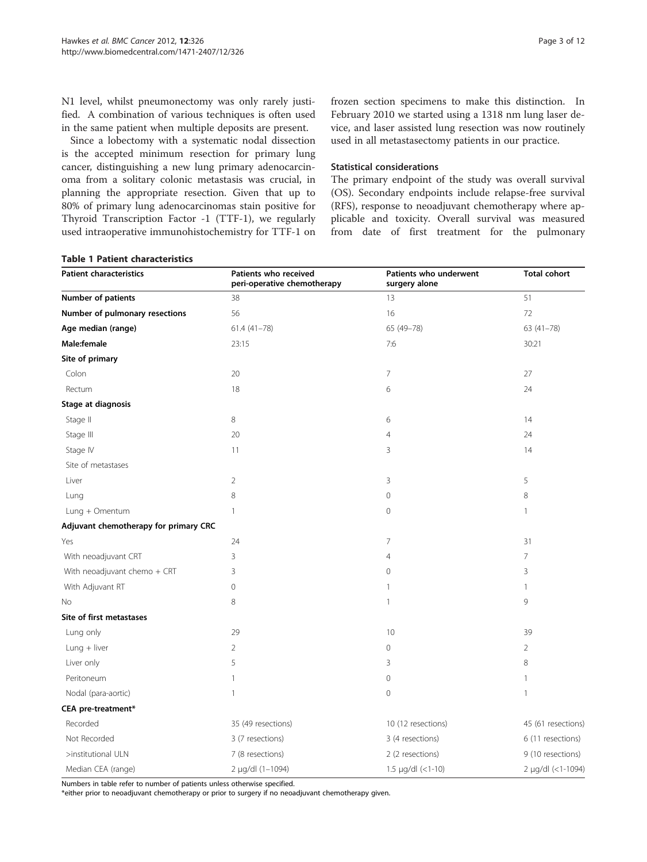Table 1 Patient characteristics

<span id="page-2-0"></span>N1 level, whilst pneumonectomy was only rarely justified. A combination of various techniques is often used in the same patient when multiple deposits are present.

Since a lobectomy with a systematic nodal dissection is the accepted minimum resection for primary lung cancer, distinguishing a new lung primary adenocarcinoma from a solitary colonic metastasis was crucial, in planning the appropriate resection. Given that up to 80% of primary lung adenocarcinomas stain positive for Thyroid Transcription Factor -1 (TTF-1), we regularly used intraoperative immunohistochemistry for TTF-1 on frozen section specimens to make this distinction. In February 2010 we started using a 1318 nm lung laser device, and laser assisted lung resection was now routinely used in all metastasectomy patients in our practice.

#### Statistical considerations

The primary endpoint of the study was overall survival (OS). Secondary endpoints include relapse-free survival (RFS), response to neoadjuvant chemotherapy where applicable and toxicity. Overall survival was measured from date of first treatment for the pulmonary

| <b>Patient characteristics</b>        | Patients who received<br>peri-operative chemotherapy | Patients who underwent<br>surgery alone | <b>Total cohort</b> |  |
|---------------------------------------|------------------------------------------------------|-----------------------------------------|---------------------|--|
| Number of patients                    | 38                                                   | 13                                      | 51                  |  |
| Number of pulmonary resections        | 56                                                   | 16                                      | 72                  |  |
| Age median (range)                    | $61.4(41-78)$                                        | 65 (49-78)                              | $63(41 - 78)$       |  |
| Male:female                           | 23:15                                                | 7:6                                     | 30:21               |  |
| Site of primary                       |                                                      |                                         |                     |  |
| Colon                                 | 20                                                   | $\overline{7}$                          | 27                  |  |
| Rectum                                | 18                                                   | 6                                       | 24                  |  |
| Stage at diagnosis                    |                                                      |                                         |                     |  |
| Stage II                              | 8                                                    | 6                                       | 14                  |  |
| Stage III                             | 20                                                   | $\overline{4}$                          | 24                  |  |
| Stage IV                              | 11                                                   | 3                                       | 14                  |  |
| Site of metastases                    |                                                      |                                         |                     |  |
| Liver                                 | $\overline{2}$                                       | 3                                       | 5                   |  |
| Lung                                  | 8                                                    | $\mathbf 0$                             | $\,8\,$             |  |
| Lung + Omentum                        | $\mathbf{1}$                                         | $\mathbf 0$                             | $\mathbf{1}$        |  |
| Adjuvant chemotherapy for primary CRC |                                                      |                                         |                     |  |
| Yes                                   | 24                                                   | $\overline{7}$                          | 31                  |  |
| With neoadjuvant CRT                  | 3                                                    | $\overline{4}$                          | 7                   |  |
| With neoadjuvant chemo + CRT          | 3                                                    | $\mathbf 0$                             | 3                   |  |
| With Adjuvant RT                      | 0                                                    | 1                                       | $\mathbf{1}$        |  |
| <b>No</b>                             | 8                                                    | $\mathbf{1}$                            | 9                   |  |
| Site of first metastases              |                                                      |                                         |                     |  |
| Lung only                             | 29                                                   | 10                                      | 39                  |  |
| $Lung + liver$                        | $\overline{2}$                                       | $\mathbf 0$                             | $\overline{2}$      |  |
| Liver only                            | 5                                                    | 3                                       | 8                   |  |
| Peritoneum                            | 1                                                    | $\mathbf 0$                             | $\mathbf{1}$        |  |
| Nodal (para-aortic)                   | 1                                                    | $\mathbf{0}$                            | $\mathbf{1}$        |  |
| CEA pre-treatment*                    |                                                      |                                         |                     |  |
| Recorded                              | 35 (49 resections)                                   | 10 (12 resections)                      | 45 (61 resections)  |  |
| Not Recorded                          | 3 (7 resections)                                     | 3 (4 resections)                        | 6 (11 resections)   |  |
| >institutional ULN                    | 7 (8 resections)                                     | 2 (2 resections)                        | 9 (10 resections)   |  |
| Median CEA (range)                    | 2 µg/dl (1-1094)                                     | 1.5 µg/dl (<1-10)                       | 2 µg/dl (<1-1094)   |  |

Numbers in table refer to number of patients unless otherwise specified.

\*either prior to neoadjuvant chemotherapy or prior to surgery if no neoadjuvant chemotherapy given.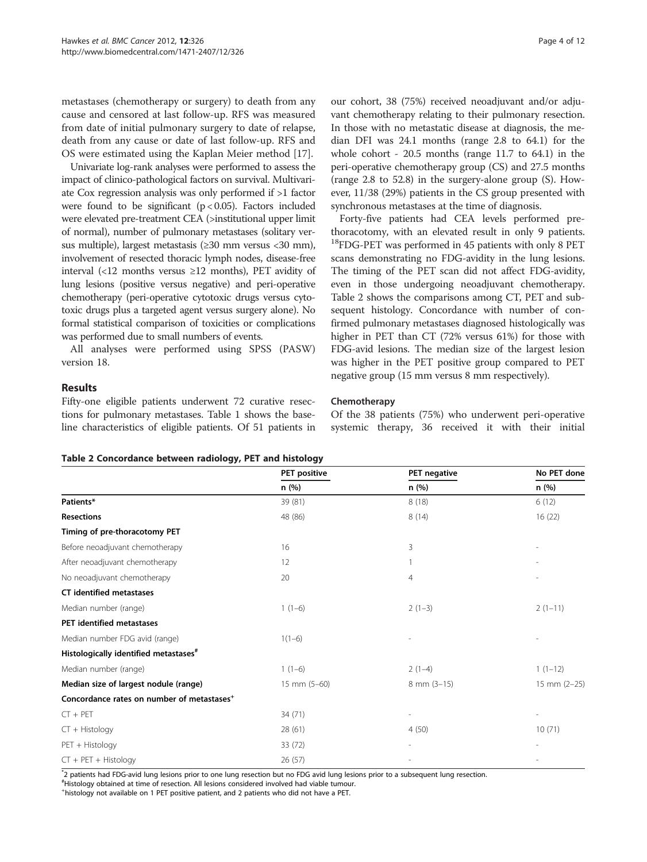metastases (chemotherapy or surgery) to death from any cause and censored at last follow-up. RFS was measured from date of initial pulmonary surgery to date of relapse, death from any cause or date of last follow-up. RFS and OS were estimated using the Kaplan Meier method [\[17](#page-11-0)].

Univariate log-rank analyses were performed to assess the impact of clinico-pathological factors on survival. Multivariate Cox regression analysis was only performed if >1 factor were found to be significant  $(p < 0.05)$ . Factors included were elevated pre-treatment CEA (>institutional upper limit of normal), number of pulmonary metastases (solitary versus multiple), largest metastasis (≥30 mm versus <30 mm), involvement of resected thoracic lymph nodes, disease-free interval (<12 months versus ≥12 months), PET avidity of lung lesions (positive versus negative) and peri-operative chemotherapy (peri-operative cytotoxic drugs versus cytotoxic drugs plus a targeted agent versus surgery alone). No formal statistical comparison of toxicities or complications was performed due to small numbers of events.

All analyses were performed using SPSS (PASW) version 18.

# Results

Fifty-one eligible patients underwent 72 curative resections for pulmonary metastases. Table [1](#page-2-0) shows the baseline characteristics of eligible patients. Of 51 patients in

our cohort, 38 (75%) received neoadjuvant and/or adjuvant chemotherapy relating to their pulmonary resection. In those with no metastatic disease at diagnosis, the median DFI was 24.1 months (range 2.8 to 64.1) for the whole cohort - 20.5 months (range 11.7 to 64.1) in the peri-operative chemotherapy group (CS) and 27.5 months (range 2.8 to 52.8) in the surgery-alone group (S). However, 11/38 (29%) patients in the CS group presented with synchronous metastases at the time of diagnosis.

Forty-five patients had CEA levels performed prethoracotomy, with an elevated result in only 9 patients. <sup>18</sup>FDG-PET was performed in 45 patients with only 8 PET scans demonstrating no FDG-avidity in the lung lesions. The timing of the PET scan did not affect FDG-avidity, even in those undergoing neoadjuvant chemotherapy. Table 2 shows the comparisons among CT, PET and subsequent histology. Concordance with number of confirmed pulmonary metastases diagnosed histologically was higher in PET than CT (72% versus 61%) for those with FDG-avid lesions. The median size of the largest lesion was higher in the PET positive group compared to PET negative group (15 mm versus 8 mm respectively).

#### Chemotherapy

Of the 38 patients (75%) who underwent peri-operative systemic therapy, 36 received it with their initial

|  |  | Table 2 Concordance between radiology, PET and histology |  |  |  |  |  |
|--|--|----------------------------------------------------------|--|--|--|--|--|
|--|--|----------------------------------------------------------|--|--|--|--|--|

|                                                        | PET positive     | PET negative            | No PET done              |
|--------------------------------------------------------|------------------|-------------------------|--------------------------|
|                                                        | n (%)            | n(%)                    | n (%)                    |
| Patients*                                              | 39 (81)          | 8(18)                   | 6(12)                    |
| <b>Resections</b>                                      | 48 (86)          | 8(14)                   | 16(22)                   |
| Timing of pre-thoracotomy PET                          |                  |                         |                          |
| Before neoadjuvant chemotherapy                        | 16               | 3                       |                          |
| After neoadjuvant chemotherapy                         | 12               |                         |                          |
| No neoadjuvant chemotherapy                            | 20               | $\overline{4}$          |                          |
| CT identified metastases                               |                  |                         |                          |
| Median number (range)                                  | $1(1-6)$         | $2(1-3)$                | $2(1-11)$                |
| <b>PET identified metastases</b>                       |                  |                         |                          |
| Median number FDG avid (range)                         | $1(1-6)$         |                         |                          |
| Histologically identified metastases <sup>#</sup>      |                  |                         |                          |
| Median number (range)                                  | $1(1-6)$         | $2(1-4)$                | $1(1-12)$                |
| Median size of largest nodule (range)                  | $15$ mm $(5-60)$ | $8 \, \text{mm}$ (3-15) | $15 \, \text{mm}$ (2-25) |
| Concordance rates on number of metastases <sup>+</sup> |                  |                         |                          |
| $CT + PET$                                             | 34 (71)          |                         |                          |
| $CT + Histology$                                       | 28(61)           | 4(50)                   | 10(71)                   |
| PET + Histology                                        | 33 (72)          |                         |                          |
| $CT + PET + Histology$                                 | 26 (57)          |                         |                          |

\* 2 patients had FDG-avid lung lesions prior to one lung resection but no FDG avid lung lesions prior to a subsequent lung resection.

# Histology obtained at time of resection. All lesions considered involved had viable tumour.

+ histology not available on 1 PET positive patient, and 2 patients who did not have a PET.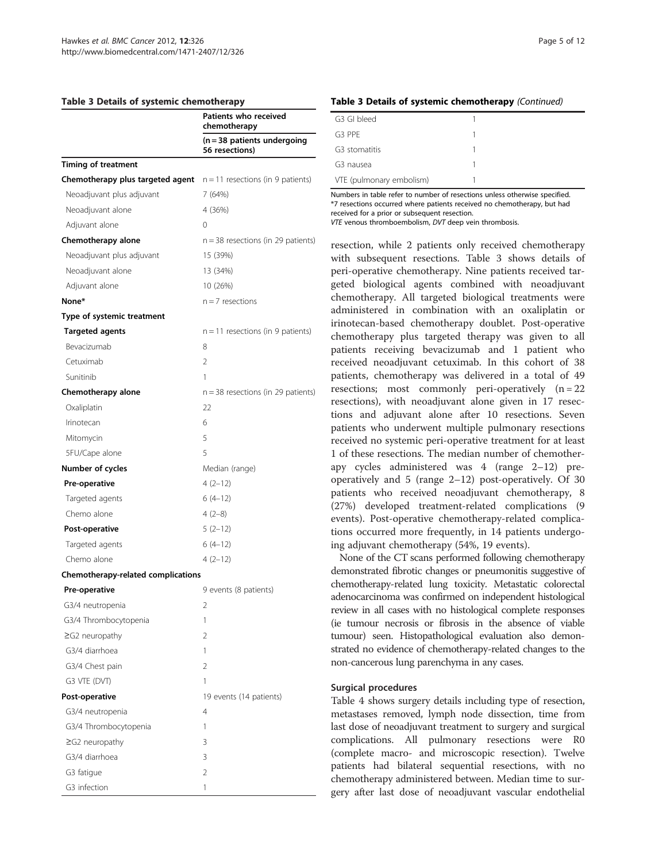#### Table 3 Details of systemic chemotherapy

|                                           | Patients who received<br>chemotherapy         |
|-------------------------------------------|-----------------------------------------------|
|                                           | $(n=38$ patients undergoing<br>56 resections) |
| <b>Timing of treatment</b>                |                                               |
| Chemotherapy plus targeted agent          | $n = 11$ resections (in 9 patients)           |
| Neoadjuvant plus adjuvant                 | 7 (64%)                                       |
| Neoadjuvant alone                         | 4 (36%)                                       |
| Adjuvant alone                            | 0                                             |
| Chemotherapy alone                        | $n = 38$ resections (in 29 patients)          |
| Neoadjuvant plus adjuvant                 | 15 (39%)                                      |
| Neoadjuvant alone                         | 13 (34%)                                      |
| Adjuvant alone                            | 10 (26%)                                      |
| None*                                     | $n = 7$ resections                            |
| Type of systemic treatment                |                                               |
| <b>Targeted agents</b>                    | $n = 11$ resections (in 9 patients)           |
| Bevacizumab                               | 8                                             |
| Cetuximab                                 | 2                                             |
| Sunitinib                                 | 1                                             |
| Chemotherapy alone                        | $n = 38$ resections (in 29 patients)          |
| Oxaliplatin                               | 22                                            |
| Irinotecan                                | 6                                             |
| Mitomycin                                 | 5                                             |
| 5FU/Cape alone                            | 5                                             |
| Number of cycles                          | Median (range)                                |
| Pre-operative                             | $4(2-12)$                                     |
| Targeted agents                           | $6(4-12)$                                     |
| Chemo alone                               | $4(2-8)$                                      |
| Post-operative                            | $5(2-12)$                                     |
| Targeted agents                           | $6(4-12)$                                     |
| Chemo alone                               | $4(2-12)$                                     |
| <b>Chemotherapy-related complications</b> |                                               |
| <b>Pre-operative</b>                      | 9 events (8 patients)                         |
| G3/4 neutropenia                          | 2                                             |
| G3/4 Thrombocytopenia                     | 1                                             |
| $\geq$ G2 neuropathy                      | 2                                             |
| G3/4 diarrhoea                            | 1                                             |
| G3/4 Chest pain                           | $\mathfrak{D}$                                |
| G3 VTE (DVT)                              | 1                                             |
| Post-operative                            | 19 events (14 patients)                       |
| G3/4 neutropenia                          | 4                                             |
| G3/4 Thrombocytopenia                     | 1                                             |
| ≥G2 neuropathy                            | 3                                             |
| G3/4 diarrhoea                            | 3                                             |
| G3 fatigue                                | $\overline{2}$                                |
| G3 infection                              | 1                                             |

|  |  |  |  |  | Table 3 Details of systemic chemotherapy (Continued) |  |
|--|--|--|--|--|------------------------------------------------------|--|
|--|--|--|--|--|------------------------------------------------------|--|

| G3 GI bleed              |  |
|--------------------------|--|
| G <sub>3</sub> PPF       |  |
| G3 stomatitis            |  |
| G3 nausea                |  |
| VTE (pulmonary embolism) |  |

Numbers in table refer to number of resections unless otherwise specified. \*7 resections occurred where patients received no chemotherapy, but had received for a prior or subsequent resection. VTE venous thromboembolism, DVT deep vein thrombosis.

resection, while 2 patients only received chemotherapy with subsequent resections. Table 3 shows details of peri-operative chemotherapy. Nine patients received targeted biological agents combined with neoadjuvant chemotherapy. All targeted biological treatments were administered in combination with an oxaliplatin or irinotecan-based chemotherapy doublet. Post-operative chemotherapy plus targeted therapy was given to all patients receiving bevacizumab and 1 patient who received neoadjuvant cetuximab. In this cohort of 38 patients, chemotherapy was delivered in a total of 49 resections; most commonly peri-operatively  $(n = 22)$ resections), with neoadjuvant alone given in 17 resections and adjuvant alone after 10 resections. Seven patients who underwent multiple pulmonary resections received no systemic peri-operative treatment for at least 1 of these resections. The median number of chemotherapy cycles administered was 4 (range 2–12) preoperatively and 5 (range 2–12) post-operatively. Of 30 patients who received neoadjuvant chemotherapy, 8 (27%) developed treatment-related complications (9 events). Post-operative chemotherapy-related complications occurred more frequently, in 14 patients undergoing adjuvant chemotherapy (54%, 19 events).

None of the CT scans performed following chemotherapy demonstrated fibrotic changes or pneumonitis suggestive of chemotherapy-related lung toxicity. Metastatic colorectal adenocarcinoma was confirmed on independent histological review in all cases with no histological complete responses (ie tumour necrosis or fibrosis in the absence of viable tumour) seen. Histopathological evaluation also demonstrated no evidence of chemotherapy-related changes to the non-cancerous lung parenchyma in any cases.

### Surgical procedures

Table [4](#page-5-0) shows surgery details including type of resection, metastases removed, lymph node dissection, time from last dose of neoadjuvant treatment to surgery and surgical complications. All pulmonary resections were R0 (complete macro- and microscopic resection). Twelve patients had bilateral sequential resections, with no chemotherapy administered between. Median time to surgery after last dose of neoadjuvant vascular endothelial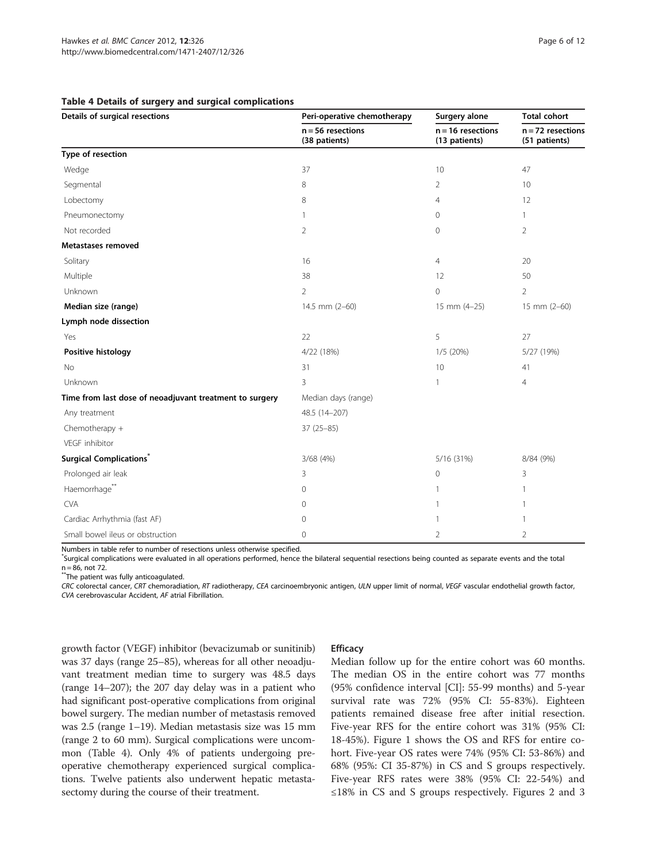# <span id="page-5-0"></span>Table 4 Details of surgery and surgical complications

| Details of surgical resections                          | Peri-operative chemotherapy          | Surgery alone                        | <b>Total cohort</b>                  |
|---------------------------------------------------------|--------------------------------------|--------------------------------------|--------------------------------------|
|                                                         | $n = 56$ resections<br>(38 patients) | $n = 16$ resections<br>(13 patients) | $n = 72$ resections<br>(51 patients) |
| Type of resection                                       |                                      |                                      |                                      |
| Wedge                                                   | 37                                   | 10                                   | 47                                   |
| Segmental                                               | 8                                    | $\overline{2}$                       | 10                                   |
| Lobectomy                                               | 8                                    | $\overline{4}$                       | 12                                   |
| Pneumonectomy                                           | 1                                    | $\circ$                              | $\mathbf{1}$                         |
| Not recorded                                            | 2                                    | $\Omega$                             | 2                                    |
| <b>Metastases removed</b>                               |                                      |                                      |                                      |
| Solitary                                                | 16                                   | $\overline{4}$                       | 20                                   |
| Multiple                                                | 38                                   | 12                                   | 50                                   |
| Unknown                                                 | $\overline{2}$                       | $\Omega$                             | $\overline{2}$                       |
| Median size (range)                                     | 14.5 mm $(2-60)$                     | 15 mm (4-25)                         | $15$ mm $(2-60)$                     |
| Lymph node dissection                                   |                                      |                                      |                                      |
| Yes                                                     | 22                                   | 5                                    | 27                                   |
| Positive histology                                      | 4/22 (18%)                           | 1/5 (20%)                            | 5/27 (19%)                           |
| <b>No</b>                                               | 31                                   | 10                                   | 41                                   |
| Unknown                                                 | 3                                    | 1                                    | $\overline{4}$                       |
| Time from last dose of neoadjuvant treatment to surgery | Median days (range)                  |                                      |                                      |
| Any treatment                                           | 48.5 (14-207)                        |                                      |                                      |
| Chemotherapy +                                          | 37 (25-85)                           |                                      |                                      |
| VEGF inhibitor                                          |                                      |                                      |                                      |
| <b>Surgical Complications</b> *                         | 3/68 (4%)                            | 5/16 (31%)                           | 8/84 (9%)                            |
| Prolonged air leak                                      | 3                                    | $\overline{0}$                       | 3                                    |
| Haemorrhage**                                           | 0                                    | 1                                    |                                      |
| <b>CVA</b>                                              | 0                                    | 1                                    |                                      |
| Cardiac Arrhythmia (fast AF)                            | 0                                    | 1                                    | 1                                    |
| Small bowel ileus or obstruction                        | 0                                    | $\overline{2}$                       | $\overline{2}$                       |

Numbers in table refer to number of resections unless otherwise specified.

\* Surgical complications were evaluated in all operations performed, hence the bilateral sequential resections being counted as separate events and the total n = 86, not 72.

\*\*The patient was fully anticoagulated.

CRC colorectal cancer, CRT chemoradiation, RT radiotherapy, CEA carcinoembryonic antigen, ULN upper limit of normal, VEGF vascular endothelial growth factor, CVA cerebrovascular Accident, AF atrial Fibrillation.

growth factor (VEGF) inhibitor (bevacizumab or sunitinib) was 37 days (range 25–85), whereas for all other neoadjuvant treatment median time to surgery was 48.5 days (range 14–207); the 207 day delay was in a patient who had significant post-operative complications from original bowel surgery. The median number of metastasis removed was 2.5 (range 1–19). Median metastasis size was 15 mm (range 2 to 60 mm). Surgical complications were uncommon (Table 4). Only 4% of patients undergoing preoperative chemotherapy experienced surgical complications. Twelve patients also underwent hepatic metastasectomy during the course of their treatment.

# **Efficacy**

Median follow up for the entire cohort was 60 months. The median OS in the entire cohort was 77 months (95% confidence interval [CI]: 55-99 months) and 5-year survival rate was 72% (95% CI: 55-83%). Eighteen patients remained disease free after initial resection. Five-year RFS for the entire cohort was 31% (95% CI: 18-45%). Figure [1](#page-6-0) shows the OS and RFS for entire cohort. Five-year OS rates were 74% (95% CI: 53-86%) and 68% (95%: CI 35-87%) in CS and S groups respectively. Five-year RFS rates were 38% (95% CI: 22-54%) and ≤18% in CS and S groups respectively. Figures [2](#page-7-0) and [3](#page-8-0)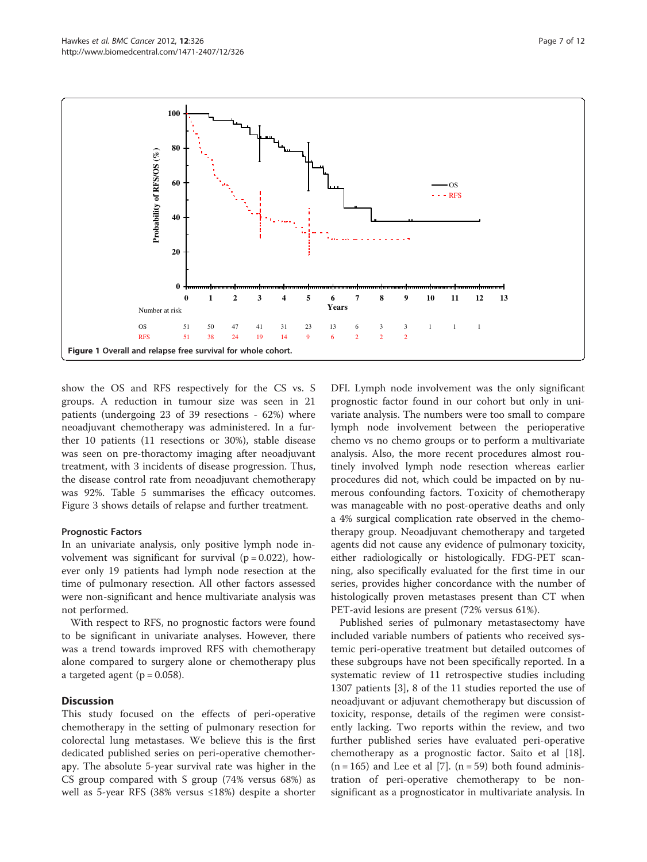<span id="page-6-0"></span>

show the OS and RFS respectively for the CS vs. S groups. A reduction in tumour size was seen in 21 patients (undergoing 23 of 39 resections - 62%) where neoadjuvant chemotherapy was administered. In a further 10 patients (11 resections or 30%), stable disease was seen on pre-thoractomy imaging after neoadjuvant treatment, with 3 incidents of disease progression. Thus, the disease control rate from neoadjuvant chemotherapy was 92%. Table [5](#page-9-0) summarises the efficacy outcomes. Figure [3](#page-8-0) shows details of relapse and further treatment.

### Prognostic Factors

In an univariate analysis, only positive lymph node involvement was significant for survival  $(p = 0.022)$ , however only 19 patients had lymph node resection at the time of pulmonary resection. All other factors assessed were non-significant and hence multivariate analysis was not performed.

With respect to RFS, no prognostic factors were found to be significant in univariate analyses. However, there was a trend towards improved RFS with chemotherapy alone compared to surgery alone or chemotherapy plus a targeted agent ( $p = 0.058$ ).

# **Discussion**

This study focused on the effects of peri-operative chemotherapy in the setting of pulmonary resection for colorectal lung metastases. We believe this is the first dedicated published series on peri-operative chemotherapy. The absolute 5-year survival rate was higher in the CS group compared with S group (74% versus 68%) as well as 5-year RFS (38% versus ≤18%) despite a shorter DFI. Lymph node involvement was the only significant prognostic factor found in our cohort but only in univariate analysis. The numbers were too small to compare lymph node involvement between the perioperative chemo vs no chemo groups or to perform a multivariate analysis. Also, the more recent procedures almost routinely involved lymph node resection whereas earlier procedures did not, which could be impacted on by numerous confounding factors. Toxicity of chemotherapy was manageable with no post-operative deaths and only a 4% surgical complication rate observed in the chemotherapy group. Neoadjuvant chemotherapy and targeted agents did not cause any evidence of pulmonary toxicity, either radiologically or histologically. FDG-PET scanning, also specifically evaluated for the first time in our series, provides higher concordance with the number of histologically proven metastases present than CT when PET-avid lesions are present (72% versus 61%).

Published series of pulmonary metastasectomy have included variable numbers of patients who received systemic peri-operative treatment but detailed outcomes of these subgroups have not been specifically reported. In a systematic review of 11 retrospective studies including 1307 patients [\[3](#page-10-0)], 8 of the 11 studies reported the use of neoadjuvant or adjuvant chemotherapy but discussion of toxicity, response, details of the regimen were consistently lacking. Two reports within the review, and two further published series have evaluated peri-operative chemotherapy as a prognostic factor. Saito et al [\[18](#page-11-0)].  $(n = 165)$  and Lee et al [\[7\]](#page-11-0).  $(n = 59)$  both found administration of peri-operative chemotherapy to be nonsignificant as a prognosticator in multivariate analysis. In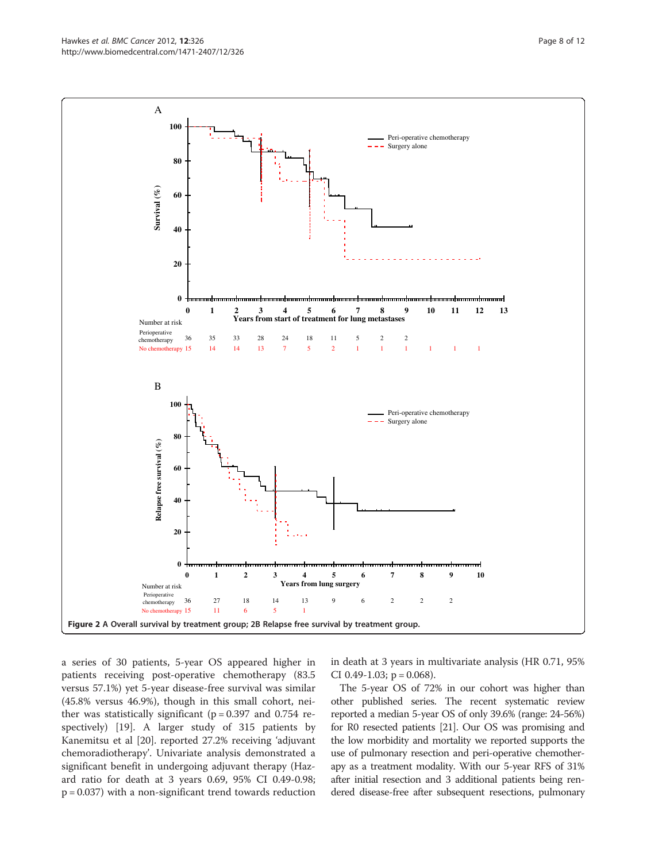a series of 30 patients, 5-year OS appeared higher in patients receiving post-operative chemotherapy (83.5 versus 57.1%) yet 5-year disease-free survival was similar (45.8% versus 46.9%), though in this small cohort, neither was statistically significant ( $p = 0.397$  and 0.754 respectively) [[19](#page-11-0)]. A larger study of 315 patients by Kanemitsu et al [[20\]](#page-11-0). reported 27.2% receiving 'adjuvant chemoradiotherapy'. Univariate analysis demonstrated a significant benefit in undergoing adjuvant therapy (Hazard ratio for death at 3 years 0.69, 95% CI 0.49-0.98;  $p = 0.037$ ) with a non-significant trend towards reduction

in death at 3 years in multivariate analysis (HR 0.71, 95% CI 0.49-1.03;  $p = 0.068$ ).

The 5-year OS of 72% in our cohort was higher than other published series. The recent systematic review reported a median 5-year OS of only 39.6% (range: 24-56%) for R0 resected patients [[21](#page-11-0)]. Our OS was promising and the low morbidity and mortality we reported supports the use of pulmonary resection and peri-operative chemotherapy as a treatment modality. With our 5-year RFS of 31% after initial resection and 3 additional patients being rendered disease-free after subsequent resections, pulmonary

<span id="page-7-0"></span>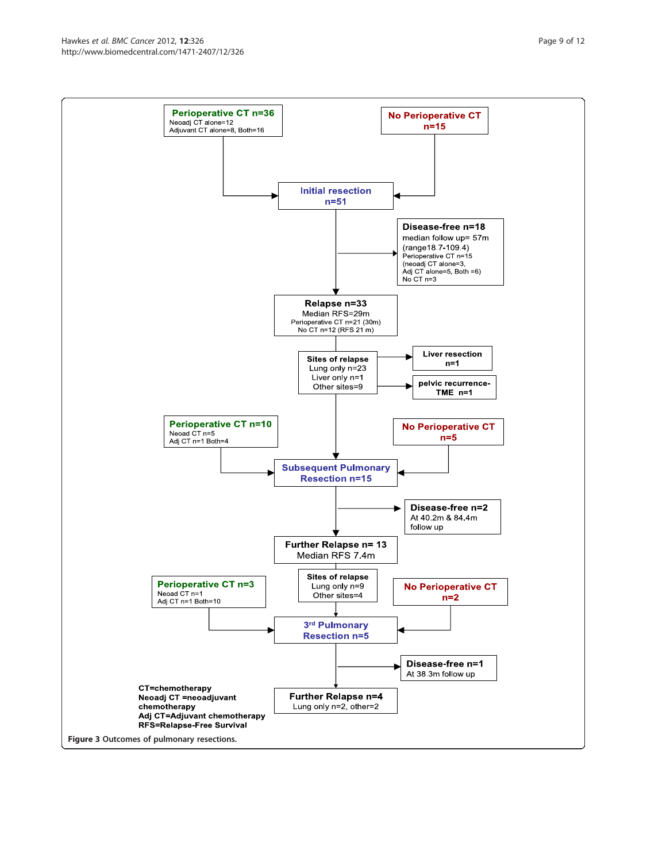<span id="page-8-0"></span>Hawkes et al. BMC Cancer 2012, 12:326 Page 9 of 12 http://www.biomedcentral.com/1471-2407/12/326

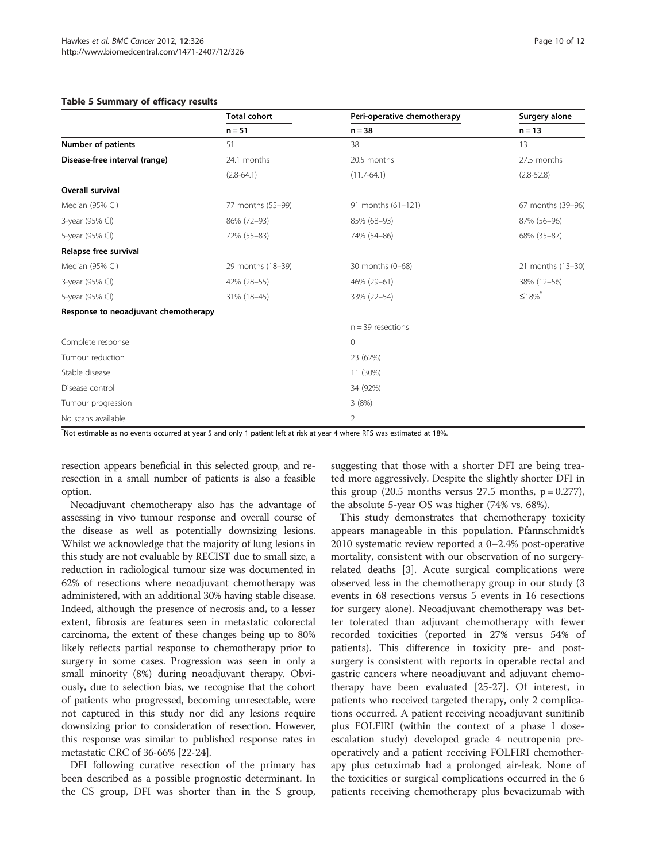#### <span id="page-9-0"></span>Table 5 Summary of efficacy results

|                                      | <b>Total cohort</b> | Peri-operative chemotherapy | Surgery alone        |  |
|--------------------------------------|---------------------|-----------------------------|----------------------|--|
|                                      | $n = 51$            | $n = 38$                    | $n = 13$             |  |
| <b>Number of patients</b>            | 51                  | 38                          | 13                   |  |
| Disease-free interval (range)        | 24.1 months         | 20.5 months                 | 27.5 months          |  |
|                                      | $(2.8 - 64.1)$      | $(11.7 - 64.1)$             | $(2.8 - 52.8)$       |  |
| Overall survival                     |                     |                             |                      |  |
| Median (95% CI)                      | 77 months (55-99)   | 91 months (61-121)          | 67 months (39-96)    |  |
| 3-year (95% CI)                      | 86% (72-93)         | 85% (68-93)                 | 87% (56-96)          |  |
| 5-year (95% CI)                      | 72% (55-83)         | 74% (54-86)                 | 68% (35-87)          |  |
| Relapse free survival                |                     |                             |                      |  |
| Median (95% CI)                      | 29 months (18-39)   | 30 months (0-68)            | 21 months (13-30)    |  |
| 3-year (95% CI)                      | 42% (28-55)         | 46% (29-61)                 | 38% (12-56)          |  |
| 5-year (95% CI)                      | 31% (18-45)         | 33% (22-54)                 | $≤18\%$ <sup>*</sup> |  |
| Response to neoadjuvant chemotherapy |                     |                             |                      |  |
|                                      |                     | $n = 39$ resections         |                      |  |
| Complete response                    |                     | $\mathbf 0$                 |                      |  |
| Tumour reduction                     |                     | 23 (62%)                    |                      |  |
| Stable disease                       |                     | 11 (30%)                    |                      |  |
| Disease control                      |                     | 34 (92%)                    |                      |  |
| Tumour progression                   |                     | 3(8%)                       |                      |  |
| No scans available                   |                     | 2                           |                      |  |

\* Not estimable as no events occurred at year 5 and only 1 patient left at risk at year 4 where RFS was estimated at 18%.

resection appears beneficial in this selected group, and reresection in a small number of patients is also a feasible option.

Neoadjuvant chemotherapy also has the advantage of assessing in vivo tumour response and overall course of the disease as well as potentially downsizing lesions. Whilst we acknowledge that the majority of lung lesions in this study are not evaluable by RECIST due to small size, a reduction in radiological tumour size was documented in 62% of resections where neoadjuvant chemotherapy was administered, with an additional 30% having stable disease. Indeed, although the presence of necrosis and, to a lesser extent, fibrosis are features seen in metastatic colorectal carcinoma, the extent of these changes being up to 80% likely reflects partial response to chemotherapy prior to surgery in some cases. Progression was seen in only a small minority (8%) during neoadjuvant therapy. Obviously, due to selection bias, we recognise that the cohort of patients who progressed, becoming unresectable, were not captured in this study nor did any lesions require downsizing prior to consideration of resection. However, this response was similar to published response rates in metastatic CRC of 36-66% [[22-24\]](#page-11-0).

DFI following curative resection of the primary has been described as a possible prognostic determinant. In the CS group, DFI was shorter than in the S group, suggesting that those with a shorter DFI are being treated more aggressively. Despite the slightly shorter DFI in this group  $(20.5 \text{ months} \text{ versus } 27.5 \text{ months}, \text{ p} = 0.277)$ , the absolute 5-year OS was higher (74% vs. 68%).

This study demonstrates that chemotherapy toxicity appears manageable in this population. Pfannschmidt's 2010 systematic review reported a 0–2.4% post-operative mortality, consistent with our observation of no surgeryrelated deaths [[3](#page-10-0)]. Acute surgical complications were observed less in the chemotherapy group in our study (3 events in 68 resections versus 5 events in 16 resections for surgery alone). Neoadjuvant chemotherapy was better tolerated than adjuvant chemotherapy with fewer recorded toxicities (reported in 27% versus 54% of patients). This difference in toxicity pre- and postsurgery is consistent with reports in operable rectal and gastric cancers where neoadjuvant and adjuvant chemotherapy have been evaluated [[25-27](#page-11-0)]. Of interest, in patients who received targeted therapy, only 2 complications occurred. A patient receiving neoadjuvant sunitinib plus FOLFIRI (within the context of a phase I doseescalation study) developed grade 4 neutropenia preoperatively and a patient receiving FOLFIRI chemotherapy plus cetuximab had a prolonged air-leak. None of the toxicities or surgical complications occurred in the 6 patients receiving chemotherapy plus bevacizumab with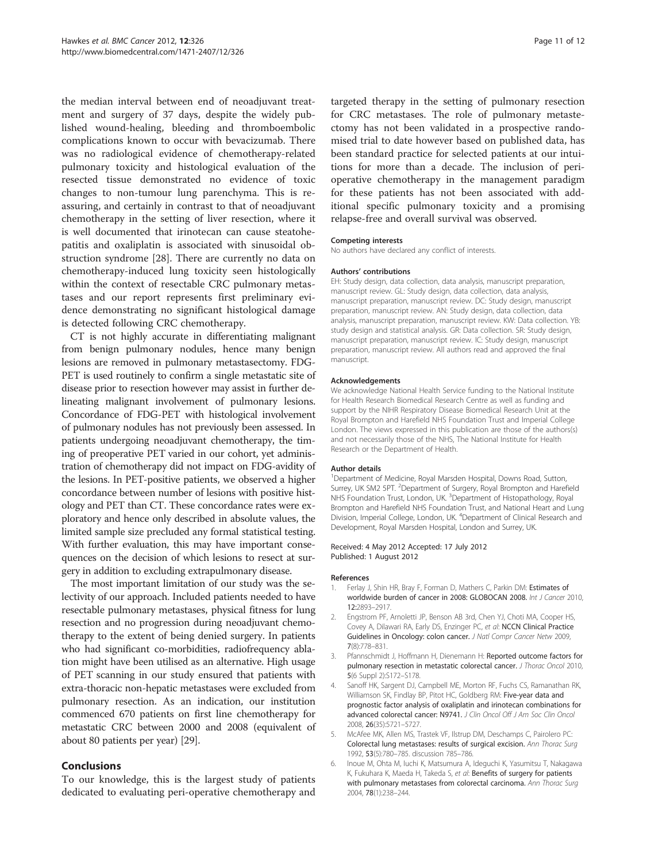<span id="page-10-0"></span>the median interval between end of neoadjuvant treatment and surgery of 37 days, despite the widely published wound-healing, bleeding and thromboembolic complications known to occur with bevacizumab. There was no radiological evidence of chemotherapy-related pulmonary toxicity and histological evaluation of the resected tissue demonstrated no evidence of toxic changes to non-tumour lung parenchyma. This is reassuring, and certainly in contrast to that of neoadjuvant chemotherapy in the setting of liver resection, where it is well documented that irinotecan can cause steatohepatitis and oxaliplatin is associated with sinusoidal obstruction syndrome [\[28](#page-11-0)]. There are currently no data on chemotherapy-induced lung toxicity seen histologically within the context of resectable CRC pulmonary metastases and our report represents first preliminary evidence demonstrating no significant histological damage is detected following CRC chemotherapy.

CT is not highly accurate in differentiating malignant from benign pulmonary nodules, hence many benign lesions are removed in pulmonary metastasectomy. FDG-PET is used routinely to confirm a single metastatic site of disease prior to resection however may assist in further delineating malignant involvement of pulmonary lesions. Concordance of FDG-PET with histological involvement of pulmonary nodules has not previously been assessed. In patients undergoing neoadjuvant chemotherapy, the timing of preoperative PET varied in our cohort, yet administration of chemotherapy did not impact on FDG-avidity of the lesions. In PET-positive patients, we observed a higher concordance between number of lesions with positive histology and PET than CT. These concordance rates were exploratory and hence only described in absolute values, the limited sample size precluded any formal statistical testing. With further evaluation, this may have important consequences on the decision of which lesions to resect at surgery in addition to excluding extrapulmonary disease.

The most important limitation of our study was the selectivity of our approach. Included patients needed to have resectable pulmonary metastases, physical fitness for lung resection and no progression during neoadjuvant chemotherapy to the extent of being denied surgery. In patients who had significant co-morbidities, radiofrequency ablation might have been utilised as an alternative. High usage of PET scanning in our study ensured that patients with extra-thoracic non-hepatic metastases were excluded from pulmonary resection. As an indication, our institution commenced 670 patients on first line chemotherapy for metastatic CRC between 2000 and 2008 (equivalent of about 80 patients per year) [\[29](#page-11-0)].

# Conclusions

To our knowledge, this is the largest study of patients dedicated to evaluating peri-operative chemotherapy and targeted therapy in the setting of pulmonary resection for CRC metastases. The role of pulmonary metastectomy has not been validated in a prospective randomised trial to date however based on published data, has been standard practice for selected patients at our intuitions for more than a decade. The inclusion of perioperative chemotherapy in the management paradigm for these patients has not been associated with additional specific pulmonary toxicity and a promising relapse-free and overall survival was observed.

#### Competing interests

No authors have declared any conflict of interests.

#### Authors' contributions

EH: Study design, data collection, data analysis, manuscript preparation, manuscript review. GL: Study design, data collection, data analysis, manuscript preparation, manuscript review. DC: Study design, manuscript preparation, manuscript review. AN: Study design, data collection, data analysis, manuscript preparation, manuscript review. KW: Data collection. YB: study design and statistical analysis. GR: Data collection. SR: Study design, manuscript preparation, manuscript review. IC: Study design, manuscript preparation, manuscript review. All authors read and approved the final manuscript.

#### Acknowledgements

We acknowledge National Health Service funding to the National Institute for Health Research Biomedical Research Centre as well as funding and support by the NIHR Respiratory Disease Biomedical Research Unit at the Royal Brompton and Harefield NHS Foundation Trust and Imperial College London. The views expressed in this publication are those of the authors(s) and not necessarily those of the NHS, The National Institute for Health Research or the Department of Health.

#### Author details

<sup>1</sup> Department of Medicine, Royal Marsden Hospital, Downs Road, Sutton, Surrey, UK SM2 5PT. <sup>2</sup>Department of Surgery, Royal Brompton and Harefield NHS Foundation Trust, London, UK. <sup>3</sup>Department of Histopathology, Royal Brompton and Harefield NHS Foundation Trust, and National Heart and Lung Division, Imperial College, London, UK. <sup>4</sup>Department of Clinical Research and Development, Royal Marsden Hospital, London and Surrey, UK.

#### Received: 4 May 2012 Accepted: 17 July 2012 Published: 1 August 2012

#### References

- 1. Ferlay J, Shin HR, Bray F, Forman D, Mathers C, Parkin DM: Estimates of worldwide burden of cancer in 2008: GLOBOCAN 2008. Int J Cancer 2010, 12:2893–2917.
- 2. Engstrom PF, Arnoletti JP, Benson AB 3rd, Chen YJ, Choti MA, Cooper HS, Covey A, Dilawari RA, Early DS, Enzinger PC, et al: NCCN Clinical Practice Guidelines in Oncology: colon cancer. J Natl Compr Cancer Netw 2009, 7(8):778–831.
- 3. Pfannschmidt J, Hoffmann H, Dienemann H: Reported outcome factors for pulmonary resection in metastatic colorectal cancer. J Thorac Oncol 2010, 5(6 Suppl 2):S172–S178.
- 4. Sanoff HK, Sargent DJ, Campbell ME, Morton RF, Fuchs CS, Ramanathan RK, Williamson SK, Findlay BP, Pitot HC, Goldberg RM: Five-year data and prognostic factor analysis of oxaliplatin and irinotecan combinations for advanced colorectal cancer: N9741. J Clin Oncol Off J Am Soc Clin Oncol 2008, 26(35):5721–5727.
- 5. McAfee MK, Allen MS, Trastek VF, Ilstrup DM, Deschamps C, Pairolero PC: Colorectal lung metastases: results of surgical excision. Ann Thorac Surg 1992, 53(5):780–785. discussion 785–786.
- 6. Inoue M, Ohta M, Iuchi K, Matsumura A, Ideguchi K, Yasumitsu T, Nakagawa K, Fukuhara K, Maeda H, Takeda S, et al: Benefits of surgery for patients with pulmonary metastases from colorectal carcinoma. Ann Thorac Surg 2004, 78(1):238–244.